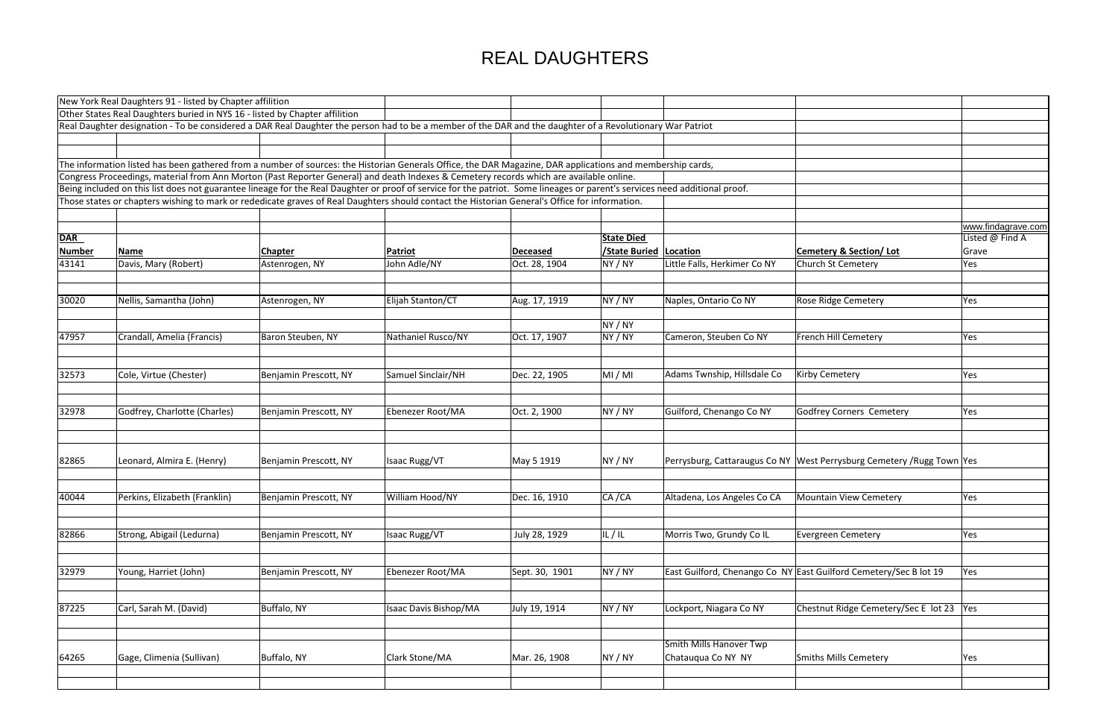|                                                        | www.findagrave.com<br>Listed @ Find A |
|--------------------------------------------------------|---------------------------------------|
|                                                        |                                       |
| <mark>ery &amp; Section/ Lot</mark><br>1   St Cemetery | Grave                                 |
|                                                        | Yes                                   |
|                                                        |                                       |
|                                                        |                                       |
| idge Cemetery                                          | Yes                                   |
|                                                        |                                       |
|                                                        |                                       |
| <b>Hill Cemetery</b>                                   | Yes                                   |
|                                                        |                                       |
|                                                        |                                       |
| Cemetery                                               | Yes                                   |
|                                                        |                                       |
|                                                        |                                       |
| ey Corners Cemetery                                    | Yes                                   |
|                                                        |                                       |
|                                                        |                                       |
|                                                        |                                       |
| errysburg Cemetery /Rugg Town Yes                      |                                       |
|                                                        |                                       |
|                                                        |                                       |
| ain View Cemetery                                      | Yes                                   |
|                                                        |                                       |
|                                                        |                                       |
|                                                        |                                       |
| een Cemetery                                           | Yes                                   |
|                                                        |                                       |
|                                                        |                                       |
| uilford Cemetery/Sec B lot 19                          | Yes                                   |
|                                                        |                                       |
|                                                        |                                       |
| ut Ridge Cemetery/Sec E lot 23                         | Yes                                   |
|                                                        |                                       |
|                                                        |                                       |
|                                                        |                                       |
| <b>Mills Cemetery</b>                                  | Yes                                   |
|                                                        |                                       |
|                                                        |                                       |
|                                                        |                                       |

|               | New York Real Daughters 91 - listed by Chapter affilition                                                                                                                   |                       |                              |                 |                     |                              |                                                                        |           |
|---------------|-----------------------------------------------------------------------------------------------------------------------------------------------------------------------------|-----------------------|------------------------------|-----------------|---------------------|------------------------------|------------------------------------------------------------------------|-----------|
|               | Other States Real Daughters buried in NYS 16 - listed by Chapter affilition                                                                                                 |                       |                              |                 |                     |                              |                                                                        |           |
|               | Real Daughter designation - To be considered a DAR Real Daughter the person had to be a member of the DAR and the daughter of a Revolutionary War Patriot                   |                       |                              |                 |                     |                              |                                                                        |           |
|               |                                                                                                                                                                             |                       |                              |                 |                     |                              |                                                                        |           |
|               |                                                                                                                                                                             |                       |                              |                 |                     |                              |                                                                        |           |
|               | The information listed has been gathered from a number of sources: the Historian Generals Office, the DAR Magazine, DAR applications and membership cards,                  |                       |                              |                 |                     |                              |                                                                        |           |
|               | Congress Proceedings, material from Ann Morton (Past Reporter General) and death Indexes & Cemetery records which are available online.                                     |                       |                              |                 |                     |                              |                                                                        |           |
|               | Being included on this list does not guarantee lineage for the Real Daughter or proof of service for the patriot. Some lineages or parent's services need additional proof. |                       |                              |                 |                     |                              |                                                                        |           |
|               | Those states or chapters wishing to mark or rededicate graves of Real Daughters should contact the Historian General's Office for information.                              |                       |                              |                 |                     |                              |                                                                        |           |
|               |                                                                                                                                                                             |                       |                              |                 |                     |                              |                                                                        |           |
|               |                                                                                                                                                                             |                       |                              |                 |                     |                              |                                                                        | <b>WW</b> |
| <b>DAR</b>    |                                                                                                                                                                             |                       |                              |                 | <b>State Died</b>   |                              |                                                                        | List      |
| <b>Number</b> | Name                                                                                                                                                                        | <b>Chapter</b>        | <b>Patriot</b>               | <b>Deceased</b> | <b>State Buried</b> | Location                     | <b>Cemetery &amp; Section/Lot</b>                                      | $ $ Gra   |
| 43141         | Davis, Mary (Robert)                                                                                                                                                        | Astenrogen, NY        | John Adle/NY                 | Oct. 28, 1904   | NY / NY             | Little Falls, Herkimer Co NY | Church St Cemetery                                                     | Yes       |
|               |                                                                                                                                                                             |                       |                              |                 |                     |                              |                                                                        |           |
|               |                                                                                                                                                                             |                       |                              |                 |                     |                              |                                                                        |           |
| 30020         | Nellis, Samantha (John)                                                                                                                                                     | Astenrogen, NY        | Elijah Stanton/CT            | Aug. 17, 1919   | NY / NY             | Naples, Ontario Co NY        | <b>Rose Ridge Cemetery</b>                                             | Yes       |
|               |                                                                                                                                                                             |                       |                              |                 |                     |                              |                                                                        |           |
|               |                                                                                                                                                                             |                       |                              |                 | NY / NY             |                              |                                                                        |           |
| 47957         | Crandall, Amelia (Francis)                                                                                                                                                  | Baron Steuben, NY     | Nathaniel Rusco/NY           | Oct. 17, 1907   | NY / NY             | Cameron, Steuben Co NY       | French Hill Cemetery                                                   | Yes       |
|               |                                                                                                                                                                             |                       |                              |                 |                     |                              |                                                                        |           |
| 32573         | Cole, Virtue (Chester)                                                                                                                                                      |                       | Samuel Sinclair/NH           |                 | MI/MI               | Adams Twnship, Hillsdale Co  | <b>Kirby Cemetery</b>                                                  |           |
|               |                                                                                                                                                                             | Benjamin Prescott, NY |                              | Dec. 22, 1905   |                     |                              |                                                                        | Yes       |
|               |                                                                                                                                                                             |                       |                              |                 |                     |                              |                                                                        |           |
| 32978         | Godfrey, Charlotte (Charles)                                                                                                                                                | Benjamin Prescott, NY | Ebenezer Root/MA             | Oct. 2, 1900    | NY / NY             | Guilford, Chenango Co NY     | Godfrey Corners Cemetery                                               | Yes       |
|               |                                                                                                                                                                             |                       |                              |                 |                     |                              |                                                                        |           |
| 82865         | Leonard, Almira E. (Henry)                                                                                                                                                  | Benjamin Prescott, NY | <b>Isaac Rugg/VT</b>         |                 | NY / NY             |                              | Perrysburg, Cattaraugus Co NY West Perrysburg Cemetery / Rugg Town Yes |           |
|               |                                                                                                                                                                             |                       |                              | May 5 1919      |                     |                              |                                                                        |           |
| 40044         | Perkins, Elizabeth (Franklin)                                                                                                                                               |                       |                              | Dec. 16, 1910   | CA / CA             |                              | Mountain View Cemetery                                                 |           |
|               |                                                                                                                                                                             | Benjamin Prescott, NY | William Hood/NY              |                 |                     | Altadena, Los Angeles Co CA  |                                                                        | Yes       |
|               |                                                                                                                                                                             |                       |                              |                 |                     |                              | Evergreen Cemetery                                                     |           |
| 82866         | Strong, Abigail (Ledurna)                                                                                                                                                   | Benjamin Prescott, NY | Isaac Rugg/VT                | July 28, 1929   | IL/IL               | Morris Two, Grundy Co IL     |                                                                        | Yes       |
|               |                                                                                                                                                                             |                       |                              |                 |                     |                              |                                                                        |           |
| 32979         | Young, Harriet (John)                                                                                                                                                       | Benjamin Prescott, NY | Ebenezer Root/MA             | Sept. 30, 1901  | NY / NY             |                              | East Guilford, Chenango Co NY East Guilford Cemetery/Sec B lot 19      | Yes       |
|               |                                                                                                                                                                             |                       |                              |                 |                     |                              |                                                                        |           |
| 87225         | Carl, Sarah M. (David)                                                                                                                                                      | Buffalo, NY           | <b>Isaac Davis Bishop/MA</b> | July 19, 1914   | NY / NY             | Lockport, Niagara Co NY      | Chestnut Ridge Cemetery/Sec E lot 23                                   | Yes       |
|               |                                                                                                                                                                             |                       |                              |                 |                     | Smith Mills Hanover Twp      |                                                                        |           |
|               |                                                                                                                                                                             |                       |                              |                 |                     |                              |                                                                        |           |
| 64265         | Gage, Climenia (Sullivan)                                                                                                                                                   | Buffalo, NY           | Clark Stone/MA               | Mar. 26, 1908   | NY / NY             | Chatauqua Co NY NY           | Smiths Mills Cemetery                                                  | Yes       |
|               |                                                                                                                                                                             |                       |                              |                 |                     |                              |                                                                        |           |
|               |                                                                                                                                                                             |                       |                              |                 |                     |                              |                                                                        |           |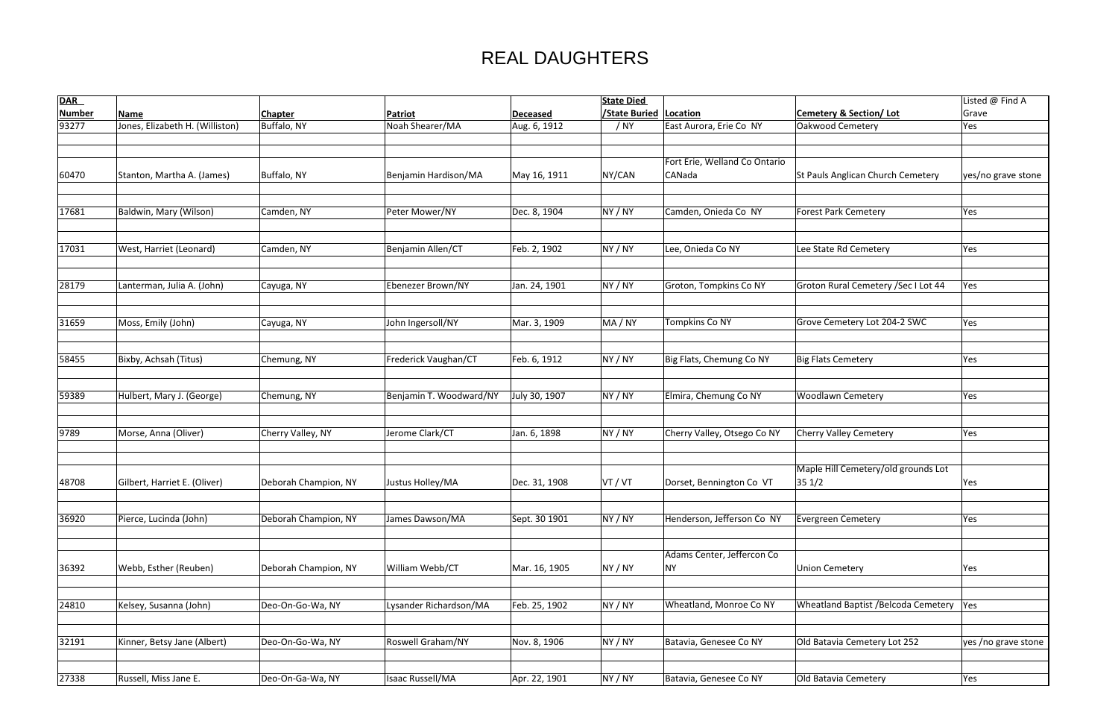| <b>DAR</b>    |                                 |                      |                         |                 | <b>State Died</b>    |                               |                                          | Listed @ Find A     |
|---------------|---------------------------------|----------------------|-------------------------|-----------------|----------------------|-------------------------------|------------------------------------------|---------------------|
| <b>Number</b> | <b>Name</b>                     | <b>Chapter</b>       | Patriot                 | <b>Deceased</b> | <b>/State Buried</b> | Location                      | Cemetery & Section/Lot                   | Grave               |
| 93277         | Jones, Elizabeth H. (Williston) | Buffalo, NY          | Noah Shearer/MA         | Aug. 6, 1912    | / NY                 | East Aurora, Erie Co NY       | Oakwood Cemetery                         | Yes                 |
|               |                                 |                      |                         |                 |                      |                               |                                          |                     |
|               |                                 |                      |                         |                 |                      |                               |                                          |                     |
|               |                                 |                      |                         |                 |                      | Fort Erie, Welland Co Ontario |                                          |                     |
| 60470         | Stanton, Martha A. (James)      | Buffalo, NY          | Benjamin Hardison/MA    | May 16, 1911    | NY/CAN               | CANada                        | <b>St Pauls Anglican Church Cemetery</b> | yes/no grave stone  |
|               |                                 |                      |                         |                 |                      |                               |                                          |                     |
|               |                                 |                      |                         |                 |                      |                               |                                          |                     |
| 17681         | Baldwin, Mary (Wilson)          | Camden, NY           | Peter Mower/NY          | Dec. 8, 1904    | NY / NY              | Camden, Onieda Co NY          | Forest Park Cemetery                     | Yes                 |
|               |                                 |                      |                         |                 |                      |                               |                                          |                     |
| 17031         | West, Harriet (Leonard)         | Camden, NY           | Benjamin Allen/CT       | Feb. 2, 1902    | NY / NY              | Lee, Onieda Co NY             | Lee State Rd Cemetery                    | Yes                 |
|               |                                 |                      |                         |                 |                      |                               |                                          |                     |
|               |                                 |                      |                         |                 |                      |                               |                                          |                     |
| 28179         | Lanterman, Julia A. (John)      | Cayuga, NY           | Ebenezer Brown/NY       | Jan. 24, 1901   | NY / NY              | Groton, Tompkins Co NY        | Groton Rural Cemetery / Sec I Lot 44     | Yes                 |
|               |                                 |                      |                         |                 |                      |                               |                                          |                     |
|               |                                 |                      |                         |                 |                      |                               |                                          |                     |
| 31659         | Moss, Emily (John)              | Cayuga, NY           | John Ingersoll/NY       | Mar. 3, 1909    | MA / NY              | <b>Tompkins Co NY</b>         | Grove Cemetery Lot 204-2 SWC             | Yes                 |
|               |                                 |                      |                         |                 |                      |                               |                                          |                     |
|               |                                 |                      |                         |                 |                      |                               |                                          |                     |
| 58455         | Bixby, Achsah (Titus)           | Chemung, NY          | Frederick Vaughan/CT    | Feb. 6, 1912    | NY / NY              | Big Flats, Chemung Co NY      | Big Flats Cemetery                       | Yes                 |
|               |                                 |                      |                         |                 |                      |                               |                                          |                     |
|               |                                 |                      |                         |                 |                      |                               |                                          |                     |
| 59389         | Hulbert, Mary J. (George)       | Chemung, NY          | Benjamin T. Woodward/NY | July 30, 1907   | NY / NY              | Elmira, Chemung Co NY         | <b>Woodlawn Cemetery</b>                 | Yes                 |
|               |                                 |                      |                         |                 |                      |                               |                                          |                     |
| 9789          | Morse, Anna (Oliver)            | Cherry Valley, NY    | Jerome Clark/CT         | Jan. 6, 1898    | NY / NY              | Cherry Valley, Otsego Co NY   | <b>Cherry Valley Cemetery</b>            | Yes                 |
|               |                                 |                      |                         |                 |                      |                               |                                          |                     |
|               |                                 |                      |                         |                 |                      |                               |                                          |                     |
|               |                                 |                      |                         |                 |                      |                               | Maple Hill Cemetery/old grounds Lot      |                     |
| 48708         | Gilbert, Harriet E. (Oliver)    | Deborah Champion, NY | Justus Holley/MA        | Dec. 31, 1908   | VT / VT              | Dorset, Bennington Co VT      | $ 35 \frac{1}{2} $                       | Yes                 |
|               |                                 |                      |                         |                 |                      |                               |                                          |                     |
|               |                                 |                      |                         |                 |                      |                               |                                          |                     |
| 36920         | Pierce, Lucinda (John)          | Deborah Champion, NY | James Dawson/MA         | Sept. 30 1901   | NY / NY              | Henderson, Jefferson Co NY    | Evergreen Cemetery                       | Yes                 |
|               |                                 |                      |                         |                 |                      |                               |                                          |                     |
|               |                                 |                      |                         |                 |                      | Adams Center, Jeffercon Co    |                                          |                     |
| 36392         | Webb, Esther (Reuben)           | Deborah Champion, NY | William Webb/CT         | Mar. 16, 1905   | NY / NY              | <b>NY</b>                     | Union Cemetery                           | Yes                 |
|               |                                 |                      |                         |                 |                      |                               |                                          |                     |
|               |                                 |                      |                         |                 |                      |                               |                                          |                     |
| 24810         | Kelsey, Susanna (John)          | Deo-On-Go-Wa, NY     | Lysander Richardson/MA  | Feb. 25, 1902   | NY / NY              | Wheatland, Monroe Co NY       | Wheatland Baptist / Belcoda Cemetery Yes |                     |
|               |                                 |                      |                         |                 |                      |                               |                                          |                     |
|               |                                 |                      |                         |                 |                      |                               |                                          |                     |
| 32191         | Kinner, Betsy Jane (Albert)     | Deo-On-Go-Wa, NY     | Roswell Graham/NY       | Nov. 8, 1906    | NY / NY              | Batavia, Genesee Co NY        | Old Batavia Cemetery Lot 252             | yes /no grave stone |
|               |                                 |                      |                         |                 |                      |                               |                                          |                     |
|               |                                 |                      |                         |                 |                      |                               |                                          |                     |
| 27338         | Russell, Miss Jane E.           | Deo-On-Ga-Wa, NY     | Isaac Russell/MA        | Apr. 22, 1901   | NY / NY              | Batavia, Genesee Co NY        | Old Batavia Cemetery                     | Yes                 |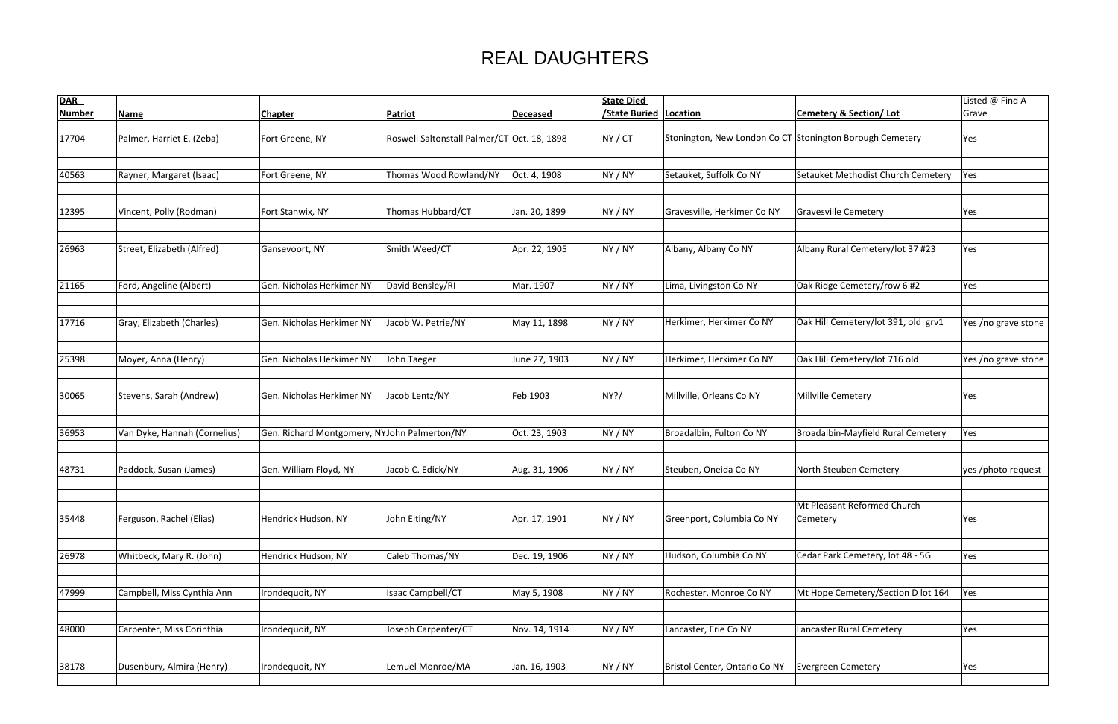| <b>DAR</b>    |                              |                                              |                                             |                 | <b>State Died</b>              |                                                          |                                         | Listed @ Find A     |
|---------------|------------------------------|----------------------------------------------|---------------------------------------------|-----------------|--------------------------------|----------------------------------------------------------|-----------------------------------------|---------------------|
| <b>Number</b> | <b>Name</b>                  | <b>Chapter</b>                               | <b>Patriot</b>                              | <b>Deceased</b> | <b>State Buried   Location</b> |                                                          | <b>Cemetery &amp; Section/Lot</b>       | Grave               |
| 17704         | Palmer, Harriet E. (Zeba)    | Fort Greene, NY                              | Roswell Saltonstall Palmer/CT Oct. 18, 1898 |                 | NY/CT                          | Stonington, New London Co CT Stonington Borough Cemetery |                                         | Yes                 |
|               |                              |                                              |                                             |                 |                                |                                                          |                                         |                     |
| 40563         | Rayner, Margaret (Isaac)     | Fort Greene, NY                              | Thomas Wood Rowland/NY                      | Oct. 4, 1908    | NY / NY                        | Setauket, Suffolk Co NY                                  | Setauket Methodist Church Cemetery      | Yes                 |
|               |                              |                                              |                                             |                 |                                |                                                          |                                         |                     |
| 12395         | Vincent, Polly (Rodman)      | Fort Stanwix, NY                             | Thomas Hubbard/CT                           | Jan. 20, 1899   | NY / NY                        | Gravesville, Herkimer Co NY                              | Gravesville Cemetery                    | Yes                 |
| 26963         | Street, Elizabeth (Alfred)   | Gansevoort, NY                               | Smith Weed/CT                               | Apr. 22, 1905   | NY / NY                        | Albany, Albany Co NY                                     | Albany Rural Cemetery/lot 37 #23        | Yes                 |
|               |                              |                                              |                                             |                 |                                |                                                          |                                         |                     |
| 21165         | Ford, Angeline (Albert)      | Gen. Nicholas Herkimer NY                    | David Bensley/RI                            | Mar. 1907       | NY / NY                        | Lima, Livingston Co NY                                   | Oak Ridge Cemetery/row 6 #2             | Yes                 |
| 17716         | Gray, Elizabeth (Charles)    | Gen. Nicholas Herkimer NY                    | Jacob W. Petrie/NY                          | May 11, 1898    | NY / NY                        | Herkimer, Herkimer Co NY                                 | Oak Hill Cemetery/lot 391, old grv1     | Yes /no grave stone |
| 25398         | Moyer, Anna (Henry)          | Gen. Nicholas Herkimer NY                    | John Taeger                                 | June 27, 1903   | NY / NY                        | Herkimer, Herkimer Co NY                                 | Oak Hill Cemetery/lot 716 old           | Yes /no grave stone |
| 30065         | Stevens, Sarah (Andrew)      | Gen. Nicholas Herkimer NY                    | Jacob Lentz/NY                              | Feb 1903        | NY?/                           | Millville, Orleans Co NY                                 | Millville Cemetery                      | Yes                 |
| 36953         | Van Dyke, Hannah (Cornelius) | Gen. Richard Montgomery, NYJohn Palmerton/NY |                                             | Oct. 23, 1903   | NY / NY                        | Broadalbin, Fulton Co NY                                 | Broadalbin-Mayfield Rural Cemetery      | Yes                 |
| 48731         | Paddock, Susan (James)       | Gen. William Floyd, NY                       | Jacob C. Edick/NY                           | Aug. 31, 1906   | NY / NY                        | Steuben, Oneida Co NY                                    | North Steuben Cemetery                  | yes /photo request  |
| 35448         | Ferguson, Rachel (Elias)     | Hendrick Hudson, NY                          | John Elting/NY                              | Apr. 17, 1901   | NY / NY                        | Greenport, Columbia Co NY                                | Mt Pleasant Reformed Church<br>Cemetery | Yes                 |
| 26978         | Whitbeck, Mary R. (John)     | Hendrick Hudson, NY                          | Caleb Thomas/NY                             | Dec. 19, 1906   | NY / NY                        | Hudson, Columbia Co NY                                   | Cedar Park Cemetery, lot 48 - 5G        | Yes                 |
| 47999         | Campbell, Miss Cynthia Ann   | Irondequoit, NY                              | Isaac Campbell/CT                           | May 5, 1908     | NY / NY                        | Rochester, Monroe Co NY                                  | Mt Hope Cemetery/Section D lot 164      | Yes                 |
| 48000         | Carpenter, Miss Corinthia    | Irondequoit, NY                              | Joseph Carpenter/CT                         | Nov. 14, 1914   | NY / NY                        | Lancaster, Erie Co NY                                    | <b>Lancaster Rural Cemetery</b>         | Yes                 |
| 38178         | Dusenbury, Almira (Henry)    | Irondequoit, NY                              | Lemuel Monroe/MA                            | Jan. 16, 1903   | NY / NY                        | Bristol Center, Ontario Co NY                            | Evergreen Cemetery                      | Yes                 |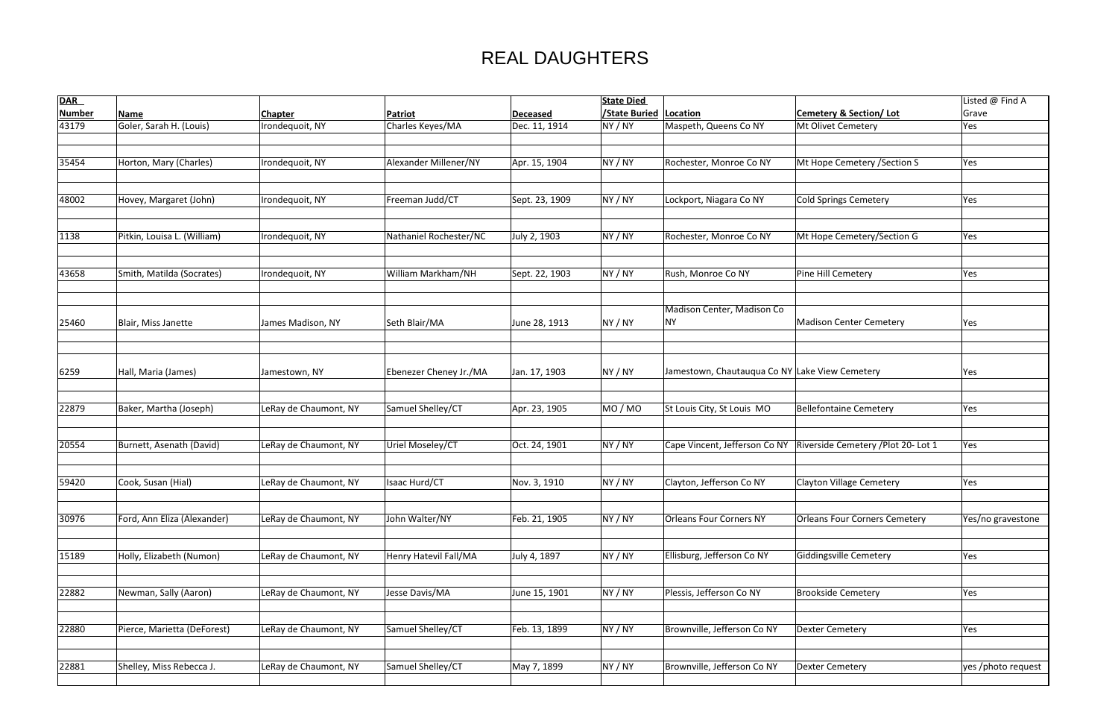| <b>DAR</b>    |                             |                       |                        |                 | <b>State Died</b> |                                                |                                     | Listed @ Find A    |
|---------------|-----------------------------|-----------------------|------------------------|-----------------|-------------------|------------------------------------------------|-------------------------------------|--------------------|
| <b>Number</b> | <b>Name</b>                 | <b>Chapter</b>        | Patriot                | <b>Deceased</b> | /State Buried     | Location                                       | <b>Cemetery &amp; Section/Lot</b>   | Grave              |
| 43179         | Goler, Sarah H. (Louis)     | Irondequoit, NY       | Charles Keyes/MA       | Dec. 11, 1914   | NY / NY           | Maspeth, Queens Co NY                          | Mt Olivet Cemetery                  | Yes                |
|               |                             |                       |                        |                 |                   |                                                |                                     |                    |
|               |                             |                       |                        |                 |                   |                                                |                                     |                    |
| 35454         | Horton, Mary (Charles)      | Irondequoit, NY       | Alexander Millener/NY  | Apr. 15, 1904   | NY / NY           | Rochester, Monroe Co NY                        | Mt Hope Cemetery / Section S        | Yes                |
|               |                             |                       |                        |                 |                   |                                                |                                     |                    |
| 48002         | Hovey, Margaret (John)      | Irondequoit, NY       | Freeman Judd/CT        | Sept. 23, 1909  | NY / NY           | Lockport, Niagara Co NY                        | Cold Springs Cemetery               | Yes                |
|               |                             |                       |                        |                 |                   |                                                |                                     |                    |
|               |                             |                       |                        |                 |                   |                                                |                                     |                    |
| 1138          | Pitkin, Louisa L. (William) | Irondequoit, NY       | Nathaniel Rochester/NC | July 2, 1903    | NY / NY           | Rochester, Monroe Co NY                        | Mt Hope Cemetery/Section G          | Yes                |
|               |                             |                       |                        |                 |                   |                                                |                                     |                    |
|               |                             |                       |                        |                 |                   |                                                |                                     |                    |
| 43658         | Smith, Matilda (Socrates)   | Irondequoit, NY       | William Markham/NH     | Sept. 22, 1903  | NY / NY           | Rush, Monroe Co NY                             | Pine Hill Cemetery                  | Yes                |
|               |                             |                       |                        |                 |                   |                                                |                                     |                    |
|               |                             |                       |                        |                 |                   | Madison Center, Madison Co                     |                                     |                    |
| 25460         | Blair, Miss Janette         | James Madison, NY     | Seth Blair/MA          | June 28, 1913   | NY / NY           | NΥ                                             | Madison Center Cemetery             | Yes                |
|               |                             |                       |                        |                 |                   |                                                |                                     |                    |
|               |                             |                       |                        |                 |                   |                                                |                                     |                    |
|               |                             |                       |                        |                 |                   |                                                |                                     |                    |
| 6259          | Hall, Maria (James)         | Jamestown, NY         | Ebenezer Cheney Jr./MA | Jan. 17, 1903   | NY / NY           | Jamestown, Chautauqua Co NY Lake View Cemetery |                                     | Yes                |
|               |                             |                       |                        |                 |                   |                                                |                                     |                    |
|               |                             |                       |                        |                 |                   |                                                |                                     |                    |
| 22879         | Baker, Martha (Joseph)      | LeRay de Chaumont, NY | Samuel Shelley/CT      | Apr. 23, 1905   | MO / MO           | St Louis City, St Louis MO                     | Bellefontaine Cemetery              | Yes                |
|               |                             |                       |                        |                 |                   |                                                |                                     |                    |
| 20554         | Burnett, Asenath (David)    | LeRay de Chaumont, NY | Uriel Moseley/CT       | Oct. 24, 1901   | NY / NY           | Cape Vincent, Jefferson Co NY                  | Riverside Cemetery / Plot 20- Lot 1 | Yes                |
|               |                             |                       |                        |                 |                   |                                                |                                     |                    |
|               |                             |                       |                        |                 |                   |                                                |                                     |                    |
| 59420         | Cook, Susan (Hial)          | LeRay de Chaumont, NY | Isaac Hurd/CT          | Nov. 3, 1910    | NY / NY           | Clayton, Jefferson Co NY                       | Clayton Village Cemetery            | Yes                |
|               |                             |                       |                        |                 |                   |                                                |                                     |                    |
|               |                             |                       |                        |                 |                   |                                                |                                     |                    |
| 30976         | Ford, Ann Eliza (Alexander) | LeRay de Chaumont, NY | John Walter/NY         | Feb. 21, 1905   | NY / NY           | <b>Orleans Four Corners NY</b>                 | Orleans Four Corners Cemetery       | Yes/no gravestone  |
|               |                             |                       |                        |                 |                   |                                                |                                     |                    |
| 15189         | Holly, Elizabeth (Numon)    | LeRay de Chaumont, NY | Henry Hatevil Fall/MA  | July 4, 1897    | NY / NY           | Ellisburg, Jefferson Co NY                     | Giddingsville Cemetery              | Yes                |
|               |                             |                       |                        |                 |                   |                                                |                                     |                    |
|               |                             |                       |                        |                 |                   |                                                |                                     |                    |
| 22882         | Newman, Sally (Aaron)       | LeRay de Chaumont, NY | Jesse Davis/MA         | June 15, 1901   | NY / NY           | Plessis, Jefferson Co NY                       | <b>Brookside Cemetery</b>           | Yes                |
|               |                             |                       |                        |                 |                   |                                                |                                     |                    |
|               |                             |                       |                        |                 |                   |                                                |                                     |                    |
| 22880         | Pierce, Marietta (DeForest) | LeRay de Chaumont, NY | Samuel Shelley/CT      | Feb. 13, 1899   | NY / NY           | Brownville, Jefferson Co NY                    | Dexter Cemetery                     | Yes                |
|               |                             |                       |                        |                 |                   |                                                |                                     |                    |
| 22881         | Shelley, Miss Rebecca J.    | LeRay de Chaumont, NY | Samuel Shelley/CT      | May 7, 1899     | NY / NY           | Brownville, Jefferson Co NY                    | Dexter Cemetery                     | yes /photo request |
|               |                             |                       |                        |                 |                   |                                                |                                     |                    |
|               |                             |                       |                        |                 |                   |                                                |                                     |                    |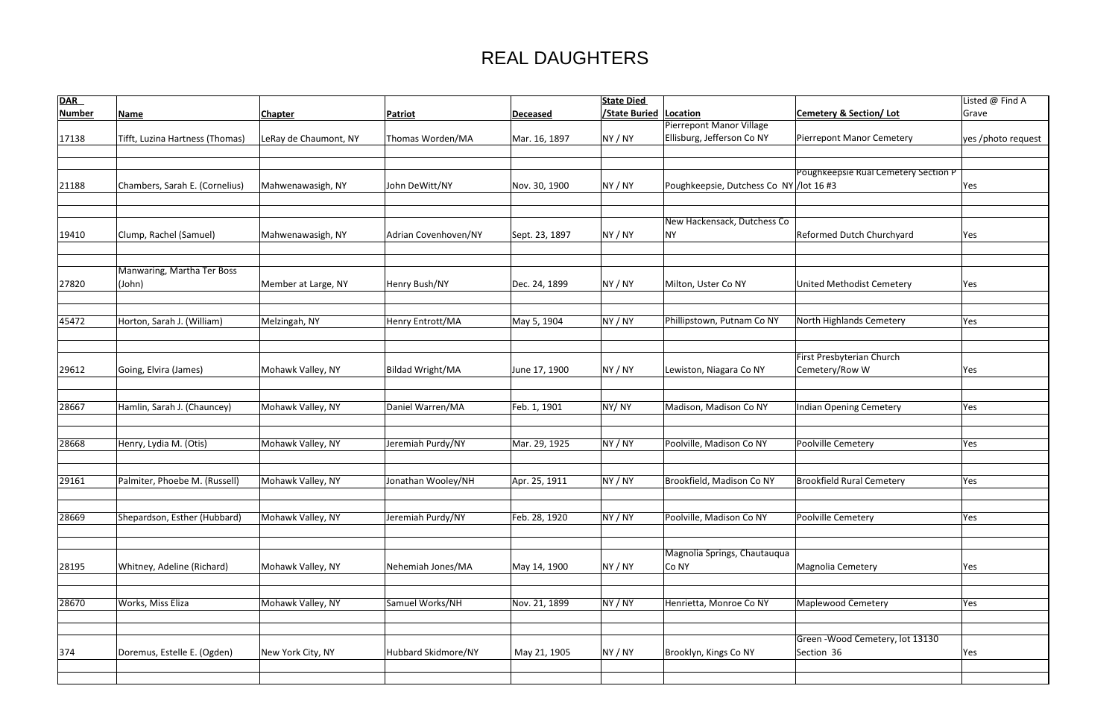| <b>DAR</b>    |                                 |                       |                         |                 | <b>State Died</b>   |                                          |                                             | Listed @ Find A    |
|---------------|---------------------------------|-----------------------|-------------------------|-----------------|---------------------|------------------------------------------|---------------------------------------------|--------------------|
| <b>Number</b> | <b>Name</b>                     | <b>Chapter</b>        | <b>Patriot</b>          | <b>Deceased</b> | <b>State Buried</b> | Location                                 | <b>Cemetery &amp; Section/Lot</b>           | Grave              |
|               |                                 |                       |                         |                 |                     | <b>Pierrepont Manor Village</b>          |                                             |                    |
| 17138         | Tifft, Luzina Hartness (Thomas) | LeRay de Chaumont, NY | Thomas Worden/MA        | Mar. 16, 1897   | NY / NY             | Ellisburg, Jefferson Co NY               | <b>Pierrepont Manor Cemetery</b>            | yes /photo request |
|               |                                 |                       |                         |                 |                     |                                          |                                             |                    |
|               |                                 |                       |                         |                 |                     |                                          |                                             |                    |
|               |                                 | Mahwenawasigh, NY     |                         |                 |                     |                                          | <b>Poughkeepsie Rual Cemetery Section P</b> |                    |
| 21188         | Chambers, Sarah E. (Cornelius)  |                       | John DeWitt/NY          | Nov. 30, 1900   | NY / NY             | Poughkeepsie, Dutchess Co NY / lot 16 #3 |                                             | Yes                |
|               |                                 |                       |                         |                 |                     |                                          |                                             |                    |
|               |                                 |                       |                         |                 |                     | New Hackensack, Dutchess Co              |                                             |                    |
| 19410         | Clump, Rachel (Samuel)          | Mahwenawasigh, NY     | Adrian Covenhoven/NY    | Sept. 23, 1897  | NY / NY             | <b>NY</b>                                | Reformed Dutch Churchyard                   | Yes                |
|               |                                 |                       |                         |                 |                     |                                          |                                             |                    |
|               |                                 |                       |                         |                 |                     |                                          |                                             |                    |
|               | Manwaring, Martha Ter Boss      |                       |                         |                 |                     |                                          |                                             |                    |
| 27820         | (John)                          | Member at Large, NY   | Henry Bush/NY           | Dec. 24, 1899   | NY / NY             | Milton, Uster Co NY                      | United Methodist Cemetery                   | Yes                |
|               |                                 |                       |                         |                 |                     |                                          |                                             |                    |
| 45472         | Horton, Sarah J. (William)      | Melzingah, NY         | Henry Entrott/MA        | May 5, 1904     | NY / NY             | Phillipstown, Putnam Co NY               | North Highlands Cemetery                    | Yes                |
|               |                                 |                       |                         |                 |                     |                                          |                                             |                    |
|               |                                 |                       |                         |                 |                     |                                          |                                             |                    |
|               |                                 |                       |                         |                 |                     |                                          | <b>First Presbyterian Church</b>            |                    |
| 29612         | Going, Elvira (James)           | Mohawk Valley, NY     | <b>Bildad Wright/MA</b> | June 17, 1900   | NY / NY             | Lewiston, Niagara Co NY                  | Cemetery/Row W                              | Yes                |
|               |                                 |                       |                         |                 |                     |                                          |                                             |                    |
|               |                                 |                       |                         |                 |                     |                                          |                                             |                    |
| 28667         | Hamlin, Sarah J. (Chauncey)     | Mohawk Valley, NY     | Daniel Warren/MA        | Feb. 1, 1901    | NY/NY               | Madison, Madison Co NY                   | <b>Indian Opening Cemetery</b>              | Yes                |
|               |                                 |                       |                         |                 |                     |                                          |                                             |                    |
| 28668         | Henry, Lydia M. (Otis)          | Mohawk Valley, NY     | Jeremiah Purdy/NY       | Mar. 29, 1925   | NY / NY             | Poolville, Madison Co NY                 | Poolville Cemetery                          | Yes                |
|               |                                 |                       |                         |                 |                     |                                          |                                             |                    |
|               |                                 |                       |                         |                 |                     |                                          |                                             |                    |
| 29161         | Palmiter, Phoebe M. (Russell)   | Mohawk Valley, NY     | Jonathan Wooley/NH      | Apr. 25, 1911   | NY / NY             | Brookfield, Madison Co NY                | <b>Brookfield Rural Cemetery</b>            | Yes                |
|               |                                 |                       |                         |                 |                     |                                          |                                             |                    |
|               |                                 |                       |                         |                 |                     |                                          |                                             |                    |
| 28669         | Shepardson, Esther (Hubbard)    | Mohawk Valley, NY     | Jeremiah Purdy/NY       | Feb. 28, 1920   | NY / NY             | Poolville, Madison Co NY                 | Poolville Cemetery                          | Yes                |
|               |                                 |                       |                         |                 |                     |                                          |                                             |                    |
|               |                                 |                       |                         |                 |                     | Magnolia Springs, Chautauqua             |                                             |                    |
| 28195         | Whitney, Adeline (Richard)      | Mohawk Valley, NY     | Nehemiah Jones/MA       | May 14, 1900    | NY / NY             | Co NY                                    | Magnolia Cemetery                           | Yes                |
|               |                                 |                       |                         |                 |                     |                                          |                                             |                    |
|               |                                 |                       |                         |                 |                     |                                          |                                             |                    |
| 28670         | Works, Miss Eliza               | Mohawk Valley, NY     | Samuel Works/NH         | Nov. 21, 1899   | NY / NY             | Henrietta, Monroe Co NY                  | <b>Maplewood Cemetery</b>                   | Yes                |
|               |                                 |                       |                         |                 |                     |                                          |                                             |                    |
|               |                                 |                       |                         |                 |                     |                                          |                                             |                    |
|               |                                 |                       |                         |                 |                     |                                          | Green - Wood Cemetery, lot 13130            |                    |
| 374           | Doremus, Estelle E. (Ogden)     | New York City, NY     | Hubbard Skidmore/NY     | May 21, 1905    | NY / NY             | Brooklyn, Kings Co NY                    | Section 36                                  | Yes                |
|               |                                 |                       |                         |                 |                     |                                          |                                             |                    |
|               |                                 |                       |                         |                 |                     |                                          |                                             |                    |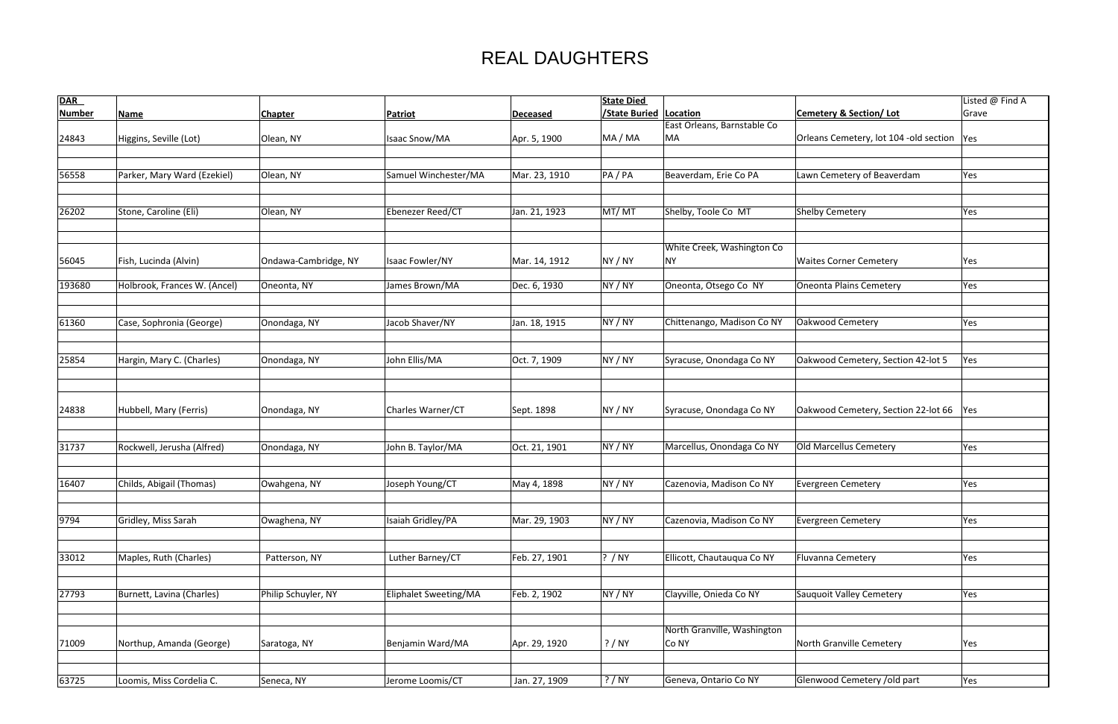| <b>DAR</b>    |                              |                      |                              |                 | <b>State Died</b>             |                             |                                             | Listed @ Find A |
|---------------|------------------------------|----------------------|------------------------------|-----------------|-------------------------------|-----------------------------|---------------------------------------------|-----------------|
| <b>Number</b> | <b>Name</b>                  | <b>Chapter</b>       | <b>Patriot</b>               | <b>Deceased</b> | <b>/State Buried Location</b> |                             | <b>Cemetery &amp; Section/Lot</b>           | Grave           |
|               |                              |                      |                              |                 |                               | East Orleans, Barnstable Co |                                             |                 |
| 24843         | Higgins, Seville (Lot)       | Olean, NY            | Isaac Snow/MA                | Apr. 5, 1900    | MA / MA                       | MA                          | Orleans Cemetery, lot 104 -old section  Yes |                 |
|               |                              |                      |                              |                 |                               |                             |                                             |                 |
|               |                              |                      |                              |                 |                               |                             |                                             |                 |
| 56558         | Parker, Mary Ward (Ezekiel)  | Olean, NY            | Samuel Winchester/MA         | Mar. 23, 1910   | PA/PA                         | Beaverdam, Erie Co PA       | Lawn Cemetery of Beaverdam                  | Yes             |
|               |                              |                      |                              |                 |                               |                             |                                             |                 |
|               |                              |                      |                              |                 |                               |                             |                                             |                 |
| 26202         | Stone, Caroline (Eli)        | Olean, NY            | Ebenezer Reed/CT             | Jan. 21, 1923   | MT/MT                         | Shelby, Toole Co MT         | Shelby Cemetery                             | Yes             |
|               |                              |                      |                              |                 |                               |                             |                                             |                 |
|               |                              |                      |                              |                 |                               |                             |                                             |                 |
|               |                              |                      |                              |                 |                               | White Creek, Washington Co  |                                             |                 |
| 56045         | Fish, Lucinda (Alvin)        | Ondawa-Cambridge, NY | Isaac Fowler/NY              | Mar. 14, 1912   | NY / NY                       | <b>NY</b>                   | <b>Waites Corner Cemetery</b>               | Yes             |
|               |                              |                      |                              |                 |                               |                             |                                             |                 |
| 193680        | Holbrook, Frances W. (Ancel) | Oneonta, NY          | James Brown/MA               | Dec. 6, 1930    | NY / NY                       | Oneonta, Otsego Co NY       | Oneonta Plains Cemetery                     | Yes             |
|               |                              |                      |                              |                 |                               |                             |                                             |                 |
|               |                              |                      |                              |                 |                               |                             |                                             |                 |
| 61360         | Case, Sophronia (George)     | Onondaga, NY         | Jacob Shaver/NY              | Jan. 18, 1915   | NY / NY                       | Chittenango, Madison Co NY  | Oakwood Cemetery                            | Yes             |
|               |                              |                      |                              |                 |                               |                             |                                             |                 |
|               |                              |                      |                              |                 |                               |                             |                                             |                 |
| 25854         | Hargin, Mary C. (Charles)    | Onondaga, NY         | John Ellis/MA                | Oct. 7, 1909    | NY / NY                       | Syracuse, Onondaga Co NY    | Oakwood Cemetery, Section 42-lot 5          | Yes             |
|               |                              |                      |                              |                 |                               |                             |                                             |                 |
|               |                              |                      |                              |                 |                               |                             |                                             |                 |
|               |                              |                      |                              |                 |                               |                             |                                             |                 |
|               |                              |                      |                              |                 |                               |                             |                                             |                 |
| 24838         | Hubbell, Mary (Ferris)       | Onondaga, NY         | Charles Warner/CT            | Sept. 1898      | NY / NY                       | Syracuse, Onondaga Co NY    | Oakwood Cemetery, Section 22-lot 66         | Yes             |
|               |                              |                      |                              |                 |                               |                             |                                             |                 |
| 31737         | Rockwell, Jerusha (Alfred)   | Onondaga, NY         | John B. Taylor/MA            | Oct. 21, 1901   | NY / NY                       | Marcellus, Onondaga Co NY   | Old Marcellus Cemetery                      |                 |
|               |                              |                      |                              |                 |                               |                             |                                             | Yes             |
|               |                              |                      |                              |                 |                               |                             |                                             |                 |
| 16407         | Childs, Abigail (Thomas)     |                      | Joseph Young/CT              |                 |                               | Cazenovia, Madison Co NY    | <b>Evergreen Cemetery</b>                   | Yes             |
|               |                              | Owahgena, NY         |                              | May 4, 1898     | NY / NY                       |                             |                                             |                 |
|               |                              |                      |                              |                 |                               |                             |                                             |                 |
| 9794          |                              |                      | Isaiah Gridley/PA            |                 | NY / NY                       | Cazenovia, Madison Co NY    | <b>Evergreen Cemetery</b>                   |                 |
|               | Gridley, Miss Sarah          | Owaghena, NY         |                              | Mar. 29, 1903   |                               |                             |                                             | Yes             |
|               |                              |                      |                              |                 |                               |                             |                                             |                 |
| 33012         | Maples, Ruth (Charles)       | Patterson, NY        | Luther Barney/CT             | Feb. 27, 1901   | ? / NY                        | Ellicott, Chautauqua Co NY  | Fluvanna Cemetery                           | Yes             |
|               |                              |                      |                              |                 |                               |                             |                                             |                 |
|               |                              |                      |                              |                 |                               |                             |                                             |                 |
| 27793         | Burnett, Lavina (Charles)    | Philip Schuyler, NY  | <b>Eliphalet Sweeting/MA</b> | Feb. 2, 1902    | NY / NY                       | Clayville, Onieda Co NY     | Sauquoit Valley Cemetery                    | Yes             |
|               |                              |                      |                              |                 |                               |                             |                                             |                 |
|               |                              |                      |                              |                 |                               |                             |                                             |                 |
|               |                              |                      |                              |                 |                               | North Granville, Washington |                                             |                 |
| 71009         | Northup, Amanda (George)     |                      | Benjamin Ward/MA             |                 | ? / NY                        | Co NY                       | North Granville Cemetery                    |                 |
|               |                              | Saratoga, NY         |                              | Apr. 29, 1920   |                               |                             |                                             | Yes             |
|               |                              |                      |                              |                 |                               |                             |                                             |                 |
|               |                              |                      |                              |                 | ? / NY                        | Geneva, Ontario Co NY       | Glenwood Cemetery /old part                 |                 |
| 63725         | Loomis, Miss Cordelia C.     | Seneca, NY           | Jerome Loomis/CT             | Jan. 27, 1909   |                               |                             |                                             | Yes             |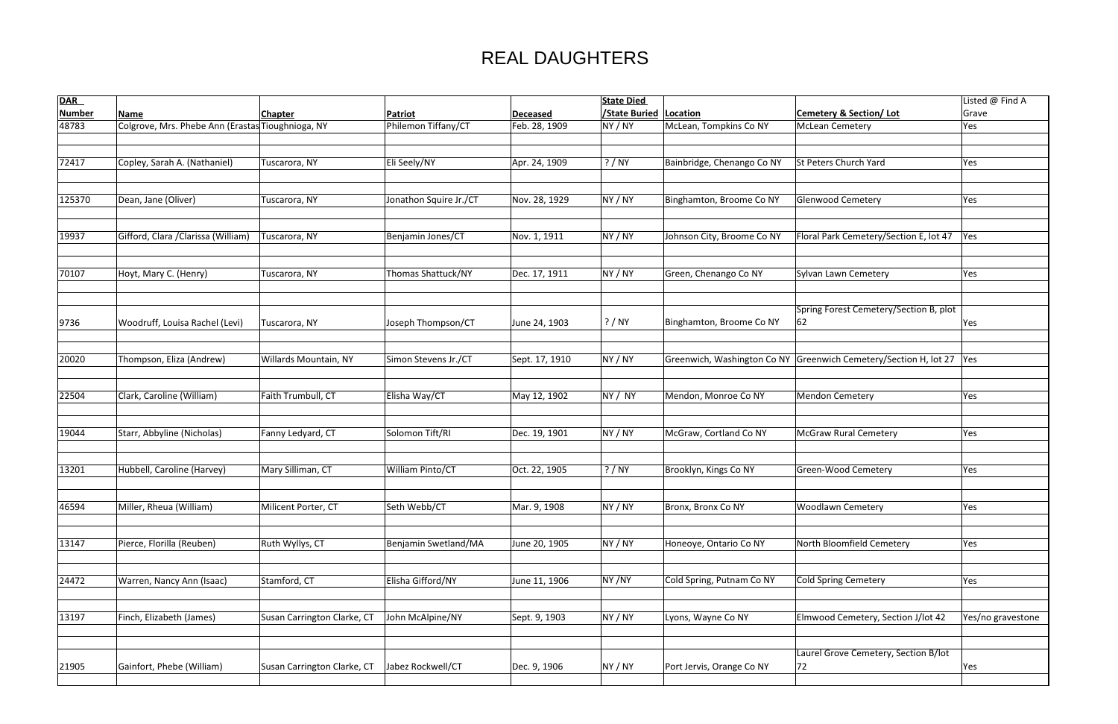| <b>DAR</b>    |                                                   |                             |                        |                 | <b>State Died</b>             |                            |                                                                      | Listed @ Find A   |
|---------------|---------------------------------------------------|-----------------------------|------------------------|-----------------|-------------------------------|----------------------------|----------------------------------------------------------------------|-------------------|
| <b>Number</b> | <b>Name</b>                                       | <b>Chapter</b>              | <b>Patriot</b>         | <b>Deceased</b> | <b>/State Buried Location</b> |                            | <b>Cemetery &amp; Section/Lot</b>                                    | Grave             |
| 48783         | Colgrove, Mrs. Phebe Ann (Erastas Tioughnioga, NY |                             | Philemon Tiffany/CT    | Feb. 28, 1909   | NY / NY                       | McLean, Tompkins Co NY     | <b>McLean Cemetery</b>                                               | Yes               |
| 72417         | Copley, Sarah A. (Nathaniel)                      | Tuscarora, NY               | Eli Seely/NY           | Apr. 24, 1909   | ? / NY                        | Bainbridge, Chenango Co NY | St Peters Church Yard                                                | Yes               |
|               |                                                   |                             |                        |                 |                               |                            |                                                                      |                   |
| 125370        | Dean, Jane (Oliver)                               | Tuscarora, NY               | Jonathon Squire Jr./CT | Nov. 28, 1929   | NY / NY                       | Binghamton, Broome Co NY   | <b>Glenwood Cemetery</b>                                             | Yes               |
| 19937         | Gifford, Clara / Clarissa (William)               | Tuscarora, NY               | Benjamin Jones/CT      | Nov. 1, 1911    | NY / NY                       | Johnson City, Broome Co NY | Floral Park Cemetery/Section E, lot 47                               | Yes               |
| 70107         | Hoyt, Mary C. (Henry)                             | Tuscarora, NY               | Thomas Shattuck/NY     | Dec. 17, 1911   | NY / NY                       | Green, Chenango Co NY      | Sylvan Lawn Cemetery                                                 | Yes               |
| 9736          | Woodruff, Louisa Rachel (Levi)                    | Tuscarora, NY               | Joseph Thompson/CT     | June 24, 1903   | ? / NY                        | Binghamton, Broome Co NY   | Spring Forest Cemetery/Section B, plot<br>62                         | Yes               |
| 20020         | Thompson, Eliza (Andrew)                          | Willards Mountain, NY       | Simon Stevens Jr./CT   | Sept. 17, 1910  | NY / NY                       |                            | Greenwich, Washington Co NY Greenwich Cemetery/Section H, lot 27 Yes |                   |
|               |                                                   |                             |                        |                 |                               |                            |                                                                      |                   |
| 22504         | Clark, Caroline (William)                         | Faith Trumbull, CT          | Elisha Way/CT          | May 12, 1902    | NY / NY                       | Mendon, Monroe Co NY       | <b>Mendon Cemetery</b>                                               | Yes               |
| 19044         | Starr, Abbyline (Nicholas)                        | Fanny Ledyard, CT           | Solomon Tift/RI        | Dec. 19, 1901   | NY / NY                       | McGraw, Cortland Co NY     | <b>McGraw Rural Cemetery</b>                                         | Yes               |
| 13201         | Hubbell, Caroline (Harvey)                        | Mary Silliman, CT           | William Pinto/CT       | Oct. 22, 1905   | ? / NY                        | Brooklyn, Kings Co NY      | Green-Wood Cemetery                                                  | Yes               |
| 46594         | Miller, Rheua (William)                           | Milicent Porter, CT         | Seth Webb/CT           | Mar. 9, 1908    | NY / NY                       | Bronx, Bronx Co NY         | <b>Woodlawn Cemetery</b>                                             | Yes               |
| 13147         | Pierce, Florilla (Reuben)                         | Ruth Wyllys, CT             | Benjamin Swetland/MA   | June 20, 1905   | NY / NY                       | Honeoye, Ontario Co NY     | North Bloomfield Cemetery                                            | Yes               |
| 24472         | Warren, Nancy Ann (Isaac)                         | Stamford, CT                | Elisha Gifford/NY      | June 11, 1906   | NY/NY                         | Cold Spring, Putnam Co NY  | <b>Cold Spring Cemetery</b>                                          | Yes               |
| 13197         | Finch, Elizabeth (James)                          | Susan Carrington Clarke, CT | John McAlpine/NY       | Sept. 9, 1903   | NY / NY                       | Lyons, Wayne Co NY         | Elmwood Cemetery, Section J/lot 42                                   | Yes/no gravestone |
| 21905         | Gainfort, Phebe (William)                         | Susan Carrington Clarke, CT | Jabez Rockwell/CT      | Dec. 9, 1906    | NY / NY                       | Port Jervis, Orange Co NY  | Laurel Grove Cemetery, Section B/lot<br>72                           | Yes               |

|                                        | Listed @ Find A   |
|----------------------------------------|-------------------|
| <b>Cemetery &amp; Section/Lot</b>      | Grave             |
| McLean Cemetery                        | Yes               |
|                                        |                   |
|                                        |                   |
| St Peters Church Yard                  | Yes               |
|                                        |                   |
|                                        |                   |
| Glenwood Cemetery                      | Yes               |
|                                        |                   |
|                                        |                   |
| Floral Park Cemetery/Section E, lot 47 | Yes               |
|                                        |                   |
|                                        |                   |
| Sylvan Lawn Cemetery                   | Yes               |
|                                        |                   |
| Spring Forest Cemetery/Section B, plot |                   |
| 62                                     | Yes               |
|                                        |                   |
|                                        |                   |
| Greenwich Cemetery/Section H, lot 27   | Yes               |
|                                        |                   |
|                                        |                   |
| Mendon Cemetery                        | Yes               |
|                                        |                   |
|                                        |                   |
| McGraw Rural Cemetery                  | Yes               |
|                                        |                   |
|                                        |                   |
| Green-Wood Cemetery                    | Yes               |
|                                        |                   |
|                                        |                   |
| <b>Woodlawn Cemetery</b>               | Yes               |
|                                        |                   |
| North Bloomfield Cemetery              | Yes               |
|                                        |                   |
|                                        |                   |
| Cold Spring Cemetery                   | Yes               |
|                                        |                   |
|                                        |                   |
| Elmwood Cemetery, Section J/lot 42     | Yes/no gravestone |
|                                        |                   |
|                                        |                   |
| Laurel Grove Cemetery, Section B/lot   |                   |
| 72                                     | Yes               |
|                                        |                   |